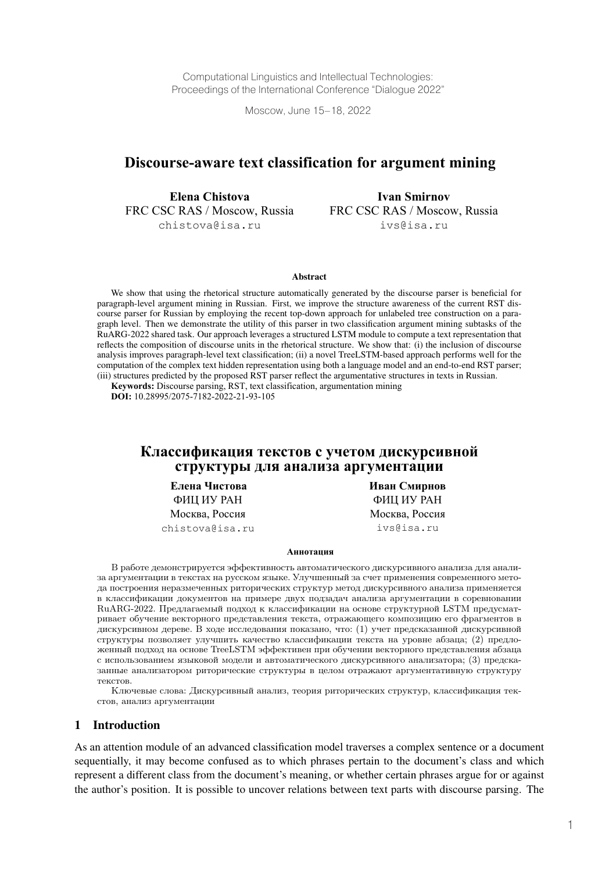Computational Linguistics and Intellectual Technologies: Proceedings of the International Conference "Dialogue 2022"

Moscow, June 15–18, 2022

# **Discourse-aware text classification for argument mining**

**Elena Chistova** FRC CSC RAS / Moscow, Russia chistova@isa.ru

**Ivan Smirnov** FRC CSC RAS / Moscow, Russia ivs@isa.ru

#### Abstract

We show that using the rhetorical structure automatically generated by the discourse parser is beneficial for paragraph-level argument mining in Russian. First, we improve the structure awareness of the current RST discourse parser for Russian by employing the recent top-down approach for unlabeled tree construction on a paragraph level. Then we demonstrate the utility of this parser in two classification argument mining subtasks of the RuARG-2022 shared task. Our approach leverages a structured LSTM module to compute a text representation that reflects the composition of discourse units in the rhetorical structure. We show that: (i) the inclusion of discourse analysis improves paragraph-level text classification; (ii) a novel TreeLSTM-based approach performs well for the computation of the complex text hidden representation using both a language model and an end-to-end RST parser; (iii) structures predicted by the proposed RST parser reflect the argumentative structures in texts in Russian.

**Keywords:** Discourse parsing, RST, text classification, argumentation mining

**DOI:** 10.28995/2075-7182-2022-21-93-105

## **Классификация текстов с учетом дискурсивной структуры для анализа аргументации**

**Елена Чистова** ФИЦ ИУ РАН Москва, Россия chistova@isa.ru **Иван Смирнов** ФИЦ ИУ РАН Москва, Россия ivs@isa.ru

#### **Аннотация**

В работе демонстрируется эффективность автоматического дискурсивного анализа для анализа аргументации в текстах на русском языке. Улучшенный за счет применения современного метода построения неразмеченных риторических структур метод дискурсивного анализа применяется в классификации документов на примере двух подзадач анализа аргументации в соревновании RuARG-2022. Предлагаемый подход к классификации на основе структурной LSTM предусматривает обучение векторного представления текста, отражающего композицию его фрагментов в дискурсивном дереве. В ходе исследования показано, что: (1) учет предсказанной дискурсивной структуры позволяет улучшить качество классификации текста на уровне абзаца; (2) предложенный подход на основе TreeLSTM эффективен при обучении векторного представления абзаца с использованием языковой модели и автоматического дискурсивного анализатора; (3) предсказанные анализатором риторические структуры в целом отражают аргументативную структуру текстов.

Ключевые слова: Дискурсивный анализ, теория риторических структур, классификация текстов, анализ аргументации

#### 1 Introduction

As an attention module of an advanced classification model traverses a complex sentence or a document sequentially, it may become confused as to which phrases pertain to the document's class and which represent a different class from the document's meaning, or whether certain phrases argue for or against the author's position. It is possible to uncover relations between text parts with discourse parsing. The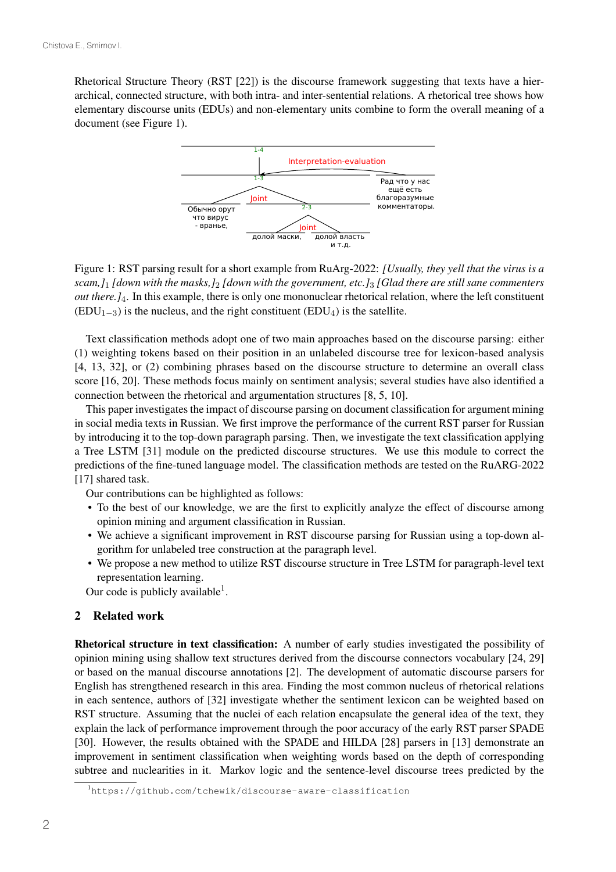Rhetorical Structure Theory (RST [22]) is the discourse framework suggesting that texts have a hierarchical, connected structure, with both intra- and inter-sentential relations. A rhetorical tree shows how elementary discourse units (EDUs) and non-elementary units combine to form the overall meaning of a document (see Figure 1).



Figure 1: RST parsing result for a short example from RuArg-2022: *[Usually, they yell that the virus is a scam,]*<sup>1</sup> *[down with the masks,]*<sup>2</sup> *[down with the government, etc.]*<sup>3</sup> *[Glad there are still sane commenters out there.]*4. In this example, there is only one mononuclear rhetorical relation, where the left constituent  $(EDU<sub>1–3</sub>)$  is the nucleus, and the right constituent  $(EDU<sub>4</sub>)$  is the satellite.

Text classification methods adopt one of two main approaches based on the discourse parsing: either (1) weighting tokens based on their position in an unlabeled discourse tree for lexicon-based analysis [4, 13, 32], or (2) combining phrases based on the discourse structure to determine an overall class score [16, 20]. These methods focus mainly on sentiment analysis; several studies have also identified a connection between the rhetorical and argumentation structures [8, 5, 10].

This paper investigates the impact of discourse parsing on document classification for argument mining in social media texts in Russian. We first improve the performance of the current RST parser for Russian by introducing it to the top-down paragraph parsing. Then, we investigate the text classification applying a Tree LSTM [31] module on the predicted discourse structures. We use this module to correct the predictions of the fine-tuned language model. The classification methods are tested on the RuARG-2022 [17] shared task.

Our contributions can be highlighted as follows:

- To the best of our knowledge, we are the first to explicitly analyze the effect of discourse among opinion mining and argument classification in Russian.
- We achieve a significant improvement in RST discourse parsing for Russian using a top-down algorithm for unlabeled tree construction at the paragraph level.
- We propose a new method to utilize RST discourse structure in Tree LSTM for paragraph-level text representation learning.

Our code is publicly available<sup>1</sup>.

#### 2 Related work

Rhetorical structure in text classification: A number of early studies investigated the possibility of opinion mining using shallow text structures derived from the discourse connectors vocabulary [24, 29] or based on the manual discourse annotations [2]. The development of automatic discourse parsers for English has strengthened research in this area. Finding the most common nucleus of rhetorical relations in each sentence, authors of [32] investigate whether the sentiment lexicon can be weighted based on RST structure. Assuming that the nuclei of each relation encapsulate the general idea of the text, they explain the lack of performance improvement through the poor accuracy of the early RST parser SPADE [30]. However, the results obtained with the SPADE and HILDA [28] parsers in [13] demonstrate an improvement in sentiment classification when weighting words based on the depth of corresponding subtree and nuclearities in it. Markov logic and the sentence-level discourse trees predicted by the

<sup>1</sup> https://github.com/tchewik/discourse-aware-classification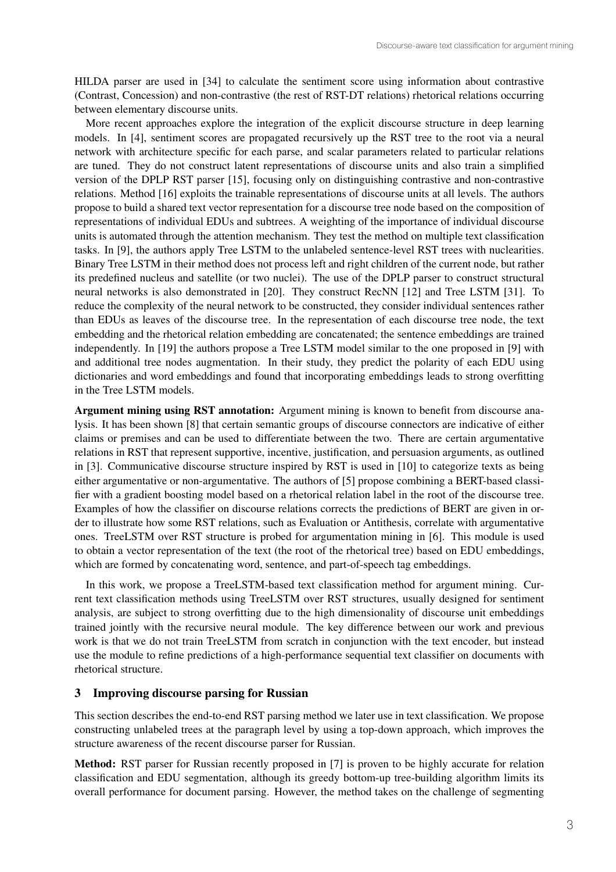HILDA parser are used in [34] to calculate the sentiment score using information about contrastive (Contrast, Concession) and non-contrastive (the rest of RST-DT relations) rhetorical relations occurring between elementary discourse units.

More recent approaches explore the integration of the explicit discourse structure in deep learning models. In [4], sentiment scores are propagated recursively up the RST tree to the root via a neural network with architecture specific for each parse, and scalar parameters related to particular relations are tuned. They do not construct latent representations of discourse units and also train a simplified version of the DPLP RST parser [15], focusing only on distinguishing contrastive and non-contrastive relations. Method [16] exploits the trainable representations of discourse units at all levels. The authors propose to build a shared text vector representation for a discourse tree node based on the composition of representations of individual EDUs and subtrees. A weighting of the importance of individual discourse units is automated through the attention mechanism. They test the method on multiple text classification tasks. In [9], the authors apply Tree LSTM to the unlabeled sentence-level RST trees with nuclearities. Binary Tree LSTM in their method does not process left and right children of the current node, but rather its predefined nucleus and satellite (or two nuclei). The use of the DPLP parser to construct structural neural networks is also demonstrated in [20]. They construct RecNN [12] and Tree LSTM [31]. To reduce the complexity of the neural network to be constructed, they consider individual sentences rather than EDUs as leaves of the discourse tree. In the representation of each discourse tree node, the text embedding and the rhetorical relation embedding are concatenated; the sentence embeddings are trained independently. In [19] the authors propose a Tree LSTM model similar to the one proposed in [9] with and additional tree nodes augmentation. In their study, they predict the polarity of each EDU using dictionaries and word embeddings and found that incorporating embeddings leads to strong overfitting in the Tree LSTM models.

Argument mining using RST annotation: Argument mining is known to benefit from discourse analysis. It has been shown [8] that certain semantic groups of discourse connectors are indicative of either claims or premises and can be used to differentiate between the two. There are certain argumentative relations in RST that represent supportive, incentive, justification, and persuasion arguments, as outlined in [3]. Communicative discourse structure inspired by RST is used in [10] to categorize texts as being either argumentative or non-argumentative. The authors of [5] propose combining a BERT-based classifier with a gradient boosting model based on a rhetorical relation label in the root of the discourse tree. Examples of how the classifier on discourse relations corrects the predictions of BERT are given in order to illustrate how some RST relations, such as Evaluation or Antithesis, correlate with argumentative ones. TreeLSTM over RST structure is probed for argumentation mining in [6]. This module is used to obtain a vector representation of the text (the root of the rhetorical tree) based on EDU embeddings, which are formed by concatenating word, sentence, and part-of-speech tag embeddings.

In this work, we propose a TreeLSTM-based text classification method for argument mining. Current text classification methods using TreeLSTM over RST structures, usually designed for sentiment analysis, are subject to strong overfitting due to the high dimensionality of discourse unit embeddings trained jointly with the recursive neural module. The key difference between our work and previous work is that we do not train TreeLSTM from scratch in conjunction with the text encoder, but instead use the module to refine predictions of a high-performance sequential text classifier on documents with rhetorical structure.

### 3 Improving discourse parsing for Russian

This section describes the end-to-end RST parsing method we later use in text classification. We propose constructing unlabeled trees at the paragraph level by using a top-down approach, which improves the structure awareness of the recent discourse parser for Russian.

Method: RST parser for Russian recently proposed in [7] is proven to be highly accurate for relation classification and EDU segmentation, although its greedy bottom-up tree-building algorithm limits its overall performance for document parsing. However, the method takes on the challenge of segmenting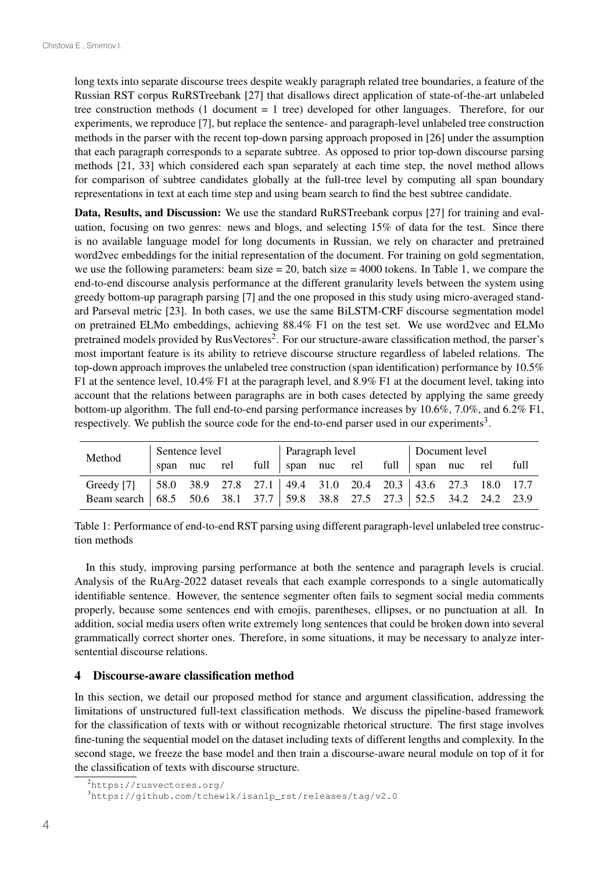long texts into separate discourse trees despite weakly paragraph related tree boundaries, a feature of the Russian RST corpus RuRSTreebank [27] that disallows direct application of state-of-the-art unlabeled tree construction methods (1 document = 1 tree) developed for other languages. Therefore, for our experiments, we reproduce [7], but replace the sentence- and paragraph-level unlabeled tree construction methods in the parser with the recent top-down parsing approach proposed in [26] under the assumption that each paragraph corresponds to a separate subtree. As opposed to prior top-down discourse parsing methods [21, 33] which considered each span separately at each time step, the novel method allows for comparison of subtree candidates globally at the full-tree level by computing all span boundary representations in text at each time step and using beam search to find the best subtree candidate.

Data, Results, and Discussion: We use the standard RuRSTreebank corpus [27] for training and evaluation, focusing on two genres: news and blogs, and selecting 15% of data for the test. Since there is no available language model for long documents in Russian, we rely on character and pretrained word2vec embeddings for the initial representation of the document. For training on gold segmentation, we use the following parameters: beam size  $= 20$ , batch size  $= 4000$  tokens. In Table 1, we compare the end-to-end discourse analysis performance at the different granularity levels between the system using greedy bottom-up paragraph parsing [7] and the one proposed in this study using micro-averaged standard Parseval metric [23]. In both cases, we use the same BiLSTM-CRF discourse segmentation model on pretrained ELMo embeddings, achieving 88.4% F1 on the test set. We use word2vec and ELMo pretrained models provided by RusVectores<sup>2</sup>. For our structure-aware classification method, the parser's most important feature is its ability to retrieve discourse structure regardless of labeled relations. The top-down approach improves the unlabeled tree construction (span identification) performance by 10.5% F1 at the sentence level, 10.4% F1 at the paragraph level, and 8.9% F1 at the document level, taking into account that the relations between paragraphs are in both cases detected by applying the same greedy bottom-up algorithm. The full end-to-end parsing performance increases by 10.6%, 7.0%, and 6.2% F1, respectively. We publish the source code for the end-to-end parser used in our experiments3.

| Method                                                                       | Sentence level |              |  | Paragraph level |  |  |  | Document level |                                     |  |  |      |
|------------------------------------------------------------------------------|----------------|--------------|--|-----------------|--|--|--|----------------|-------------------------------------|--|--|------|
|                                                                              |                | span nuc rel |  |                 |  |  |  |                | full span nuc rel full span nuc rel |  |  | full |
| Greedy [7]   58.0 38.9 27.8 27.1   49.4 31.0 20.4 20.3   43.6 27.3 18.0 17.7 |                |              |  |                 |  |  |  |                |                                     |  |  |      |
| Beam search 68.5 50.6 38.1 37.7 59.8 38.8 27.5 27.3 52.5 34.2 24.2 23.9      |                |              |  |                 |  |  |  |                |                                     |  |  |      |

Table 1: Performance of end-to-end RST parsing using different paragraph-level unlabeled tree construction methods

In this study, improving parsing performance at both the sentence and paragraph levels is crucial. Analysis of the RuArg-2022 dataset reveals that each example corresponds to a single automatically identifiable sentence. However, the sentence segmenter often fails to segment social media comments properly, because some sentences end with emojis, parentheses, ellipses, or no punctuation at all. In addition, social media users often write extremely long sentences that could be broken down into several grammatically correct shorter ones. Therefore, in some situations, it may be necessary to analyze intersentential discourse relations.

#### 4 Discourse-aware classification method

In this section, we detail our proposed method for stance and argument classification, addressing the limitations of unstructured full-text classification methods. We discuss the pipeline-based framework for the classification of texts with or without recognizable rhetorical structure. The first stage involves fine-tuning the sequential model on the dataset including texts of different lengths and complexity. In the second stage, we freeze the base model and then train a discourse-aware neural module on top of it for the classification of texts with discourse structure.

<sup>2</sup> https://rusvectores.org/

<sup>3</sup> https://github.com/tchewik/isanlp\_rst/releases/tag/v2.0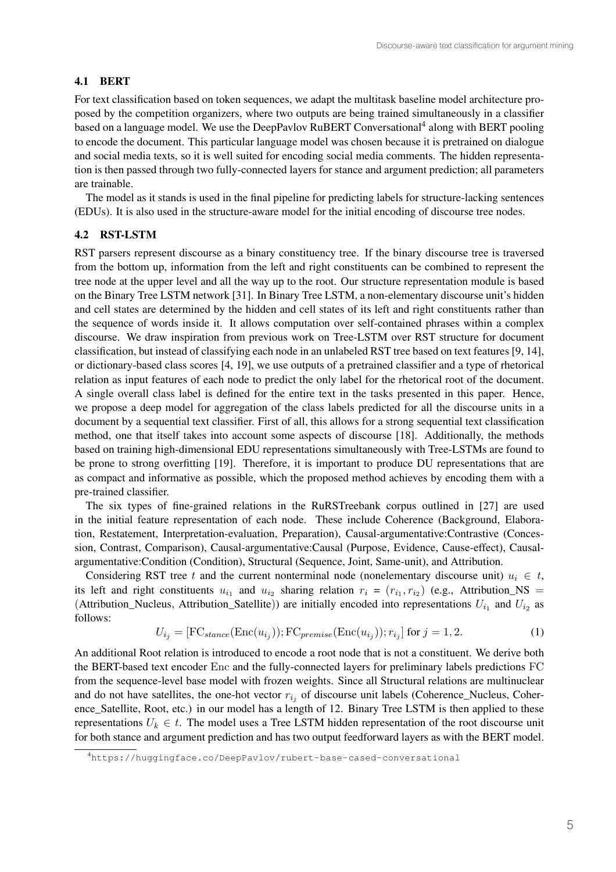### 4.1 BERT

For text classification based on token sequences, we adapt the multitask baseline model architecture proposed by the competition organizers, where two outputs are being trained simultaneously in a classifier based on a language model. We use the DeepPavlov RuBERT Conversational<sup>4</sup> along with BERT pooling to encode the document. This particular language model was chosen because it is pretrained on dialogue and social media texts, so it is well suited for encoding social media comments. The hidden representation is then passed through two fully-connected layers for stance and argument prediction; all parameters are trainable.

The model as it stands is used in the final pipeline for predicting labels for structure-lacking sentences (EDUs). It is also used in the structure-aware model for the initial encoding of discourse tree nodes.

### 4.2 RST-LSTM

RST parsers represent discourse as a binary constituency tree. If the binary discourse tree is traversed from the bottom up, information from the left and right constituents can be combined to represent the tree node at the upper level and all the way up to the root. Our structure representation module is based on the Binary Tree LSTM network [31]. In Binary Tree LSTM, a non-elementary discourse unit's hidden and cell states are determined by the hidden and cell states of its left and right constituents rather than the sequence of words inside it. It allows computation over self-contained phrases within a complex discourse. We draw inspiration from previous work on Tree-LSTM over RST structure for document classification, but instead of classifying each node in an unlabeled RST tree based on text features [9, 14], or dictionary-based class scores [4, 19], we use outputs of a pretrained classifier and a type of rhetorical relation as input features of each node to predict the only label for the rhetorical root of the document. A single overall class label is defined for the entire text in the tasks presented in this paper. Hence, we propose a deep model for aggregation of the class labels predicted for all the discourse units in a document by a sequential text classifier. First of all, this allows for a strong sequential text classification method, one that itself takes into account some aspects of discourse [18]. Additionally, the methods based on training high-dimensional EDU representations simultaneously with Tree-LSTMs are found to be prone to strong overfitting [19]. Therefore, it is important to produce DU representations that are as compact and informative as possible, which the proposed method achieves by encoding them with a pre-trained classifier.

The six types of fine-grained relations in the RuRSTreebank corpus outlined in [27] are used in the initial feature representation of each node. These include Coherence (Background, Elaboration, Restatement, Interpretation-evaluation, Preparation), Causal-argumentative:Contrastive (Concession, Contrast, Comparison), Causal-argumentative:Causal (Purpose, Evidence, Cause-effect), Causalargumentative:Condition (Condition), Structural (Sequence, Joint, Same-unit), and Attribution.

Considering RST tree t and the current nonterminal node (nonelementary discourse unit)  $u_i \in t$ , its left and right constituents  $u_{i_1}$  and  $u_{i_2}$  sharing relation  $r_i = (r_{i_1}, r_{i_2})$  (e.g., Attribution\_NS = (Attribution\_Nucleus, Attribution\_Satellite)) are initially encoded into representations  $U_{i_1}$  and  $U_{i_2}$  as follows:

$$
U_{i_j} = [FC_{stance}(\text{Enc}(u_{i_j})) ; FC_{premise}(\text{Enc}(u_{i_j})) ; r_{i_j}] \text{ for } j = 1, 2.
$$
 (1)

An additional Root relation is introduced to encode a root node that is not a constituent. We derive both the BERT-based text encoder Enc and the fully-connected layers for preliminary labels predictions FC from the sequence-level base model with frozen weights. Since all Structural relations are multinuclear and do not have satellites, the one-hot vector  $r_{i_j}$  of discourse unit labels (Coherence\_Nucleus, Coherence\_Satellite, Root, etc.) in our model has a length of 12. Binary Tree LSTM is then applied to these representations  $U_k \in t$ . The model uses a Tree LSTM hidden representation of the root discourse unit for both stance and argument prediction and has two output feedforward layers as with the BERT model.

<sup>4</sup> https://huggingface.co/DeepPavlov/rubert-base-cased-conversational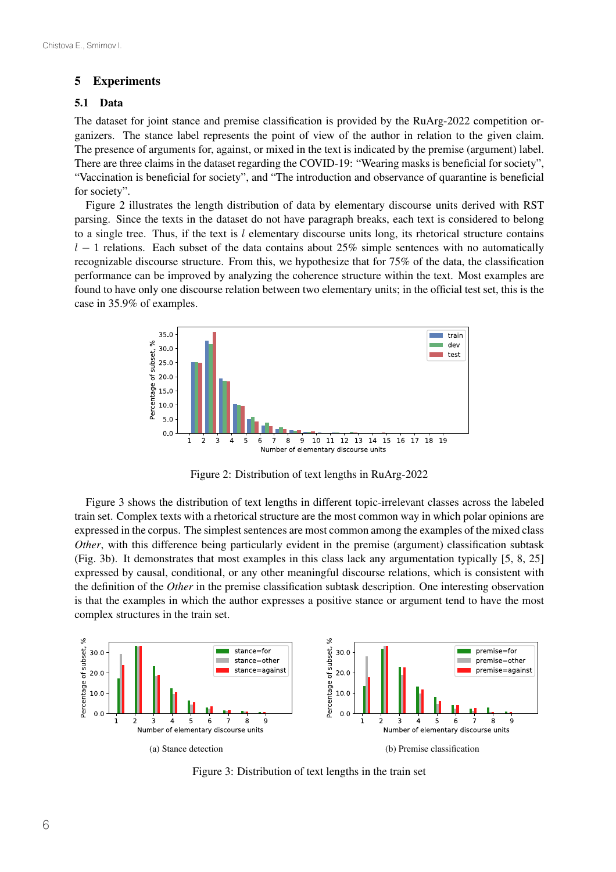#### 5 Experiments

#### 5.1 Data

The dataset for joint stance and premise classification is provided by the RuArg-2022 competition organizers. The stance label represents the point of view of the author in relation to the given claim. The presence of arguments for, against, or mixed in the text is indicated by the premise (argument) label. There are three claims in the dataset regarding the COVID-19: "Wearing masks is beneficial for society", "Vaccination is beneficial for society", and "The introduction and observance of quarantine is beneficial for society".

Figure 2 illustrates the length distribution of data by elementary discourse units derived with RST parsing. Since the texts in the dataset do not have paragraph breaks, each text is considered to belong to a single tree. Thus, if the text is  $l$  elementary discourse units long, its rhetorical structure contains  $l-1$  relations. Each subset of the data contains about 25% simple sentences with no automatically recognizable discourse structure. From this, we hypothesize that for 75% of the data, the classification performance can be improved by analyzing the coherence structure within the text. Most examples are found to have only one discourse relation between two elementary units; in the official test set, this is the case in 35.9% of examples.



Figure 2: Distribution of text lengths in RuArg-2022

Figure 3 shows the distribution of text lengths in different topic-irrelevant classes across the labeled train set. Complex texts with a rhetorical structure are the most common way in which polar opinions are expressed in the corpus. The simplest sentences are most common among the examples of the mixed class *Other*, with this difference being particularly evident in the premise (argument) classification subtask (Fig. 3b). It demonstrates that most examples in this class lack any argumentation typically [5, 8, 25] expressed by causal, conditional, or any other meaningful discourse relations, which is consistent with the definition of the *Other* in the premise classification subtask description. One interesting observation is that the examples in which the author expresses a positive stance or argument tend to have the most complex structures in the train set.



Figure 3: Distribution of text lengths in the train set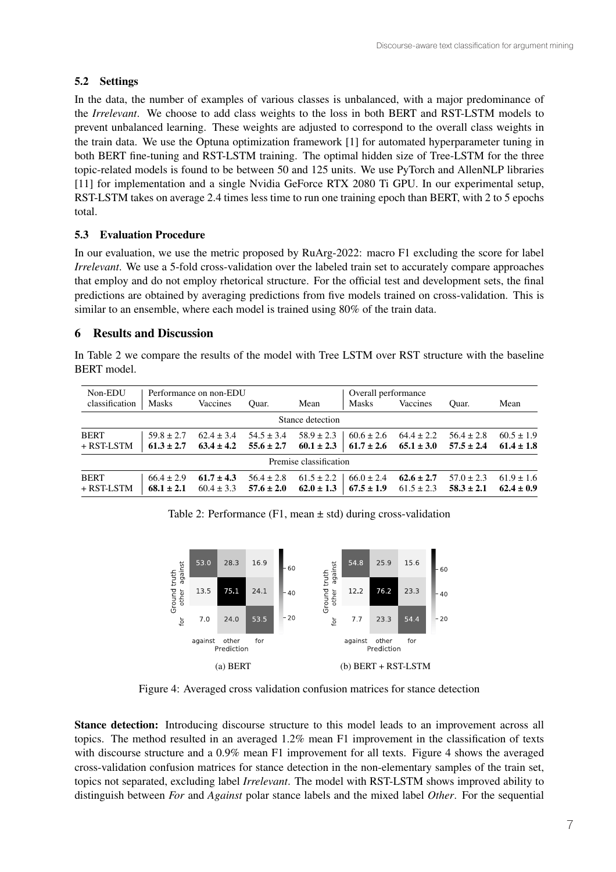## 5.2 Settings

In the data, the number of examples of various classes is unbalanced, with a major predominance of the *Irrelevant*. We choose to add class weights to the loss in both BERT and RST-LSTM models to prevent unbalanced learning. These weights are adjusted to correspond to the overall class weights in the train data. We use the Optuna optimization framework [1] for automated hyperparameter tuning in both BERT fine-tuning and RST-LSTM training. The optimal hidden size of Tree-LSTM for the three topic-related models is found to be between 50 and 125 units. We use PyTorch and AllenNLP libraries [11] for implementation and a single Nvidia GeForce RTX 2080 Ti GPU. In our experimental setup, RST-LSTM takes on average 2.4 times less time to run one training epoch than BERT, with 2 to 5 epochs total.

## 5.3 Evaluation Procedure

In our evaluation, we use the metric proposed by RuArg-2022: macro F1 excluding the score for label *Irrelevant*. We use a 5-fold cross-validation over the labeled train set to accurately compare approaches that employ and do not employ rhetorical structure. For the official test and development sets, the final predictions are obtained by averaging predictions from five models trained on cross-validation. This is similar to an ensemble, where each model is trained using 80% of the train data.

## 6 Results and Discussion

In Table 2 we compare the results of the model with Tree LSTM over RST structure with the baseline BERT model.

| Non-EDU                | Overall performance |                |                |                |                |                |                |                |  |
|------------------------|---------------------|----------------|----------------|----------------|----------------|----------------|----------------|----------------|--|
| classification         | <b>Masks</b>        | Vaccines       | Ouar.          | Mean           | Masks          | Vaccines       | Ouar.          | Mean           |  |
| Stance detection       |                     |                |                |                |                |                |                |                |  |
| <b>BERT</b>            | $59.8 \pm 2.7$      | $62.4 \pm 3.4$ | $54.5 \pm 3.4$ | $58.9 \pm 2.3$ | $60.6 \pm 2.6$ | $64.4 \pm 2.2$ | $56.4 \pm 2.8$ | $60.5 \pm 1.9$ |  |
| $+$ RST-LSTM           | $61.3 \pm 2.7$      | $63.4 \pm 4.2$ | $55.6 \pm 2.7$ | $60.1 \pm 2.3$ | $61.7 \pm 2.6$ | $65.1 \pm 3.0$ | $57.5 \pm 2.4$ | $61.4 \pm 1.8$ |  |
| Premise classification |                     |                |                |                |                |                |                |                |  |
| <b>BERT</b>            | $66.4 \pm 2.9$      | $61.7 \pm 4.3$ | $56.4 \pm 2.8$ | $61.5 \pm 2.2$ | $66.0 \pm 2.4$ | $62.6 \pm 2.7$ | $57.0 \pm 2.3$ | $61.9 \pm 1.6$ |  |
| $+$ RST-LSTM           | $68.1 \pm 2.1$      | $60.4 \pm 3.3$ | $57.6 \pm 2.0$ | $62.0 \pm 1.3$ | $67.5 \pm 1.9$ | $61.5 \pm 2.3$ | $58.3 \pm 2.1$ | $62.4 \pm 0.9$ |  |

Table 2: Performance (F1, mean  $\pm$  std) during cross-validation



Figure 4: Averaged cross validation confusion matrices for stance detection

Stance detection: Introducing discourse structure to this model leads to an improvement across all topics. The method resulted in an averaged 1.2% mean F1 improvement in the classification of texts with discourse structure and a 0.9% mean F1 improvement for all texts. Figure 4 shows the averaged cross-validation confusion matrices for stance detection in the non-elementary samples of the train set, topics not separated, excluding label *Irrelevant*. The model with RST-LSTM shows improved ability to distinguish between *For* and *Against* polar stance labels and the mixed label *Other*. For the sequential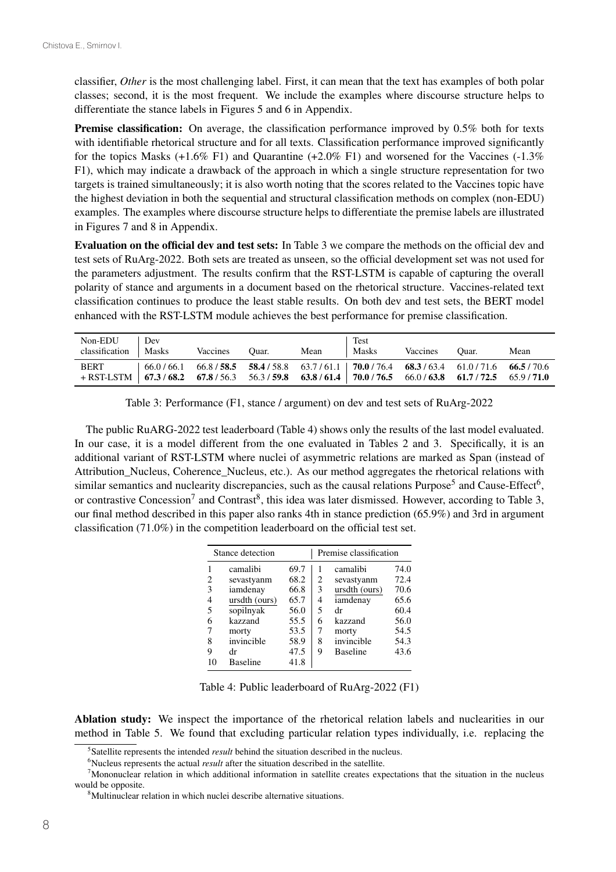classifier, *Other* is the most challenging label. First, it can mean that the text has examples of both polar classes; second, it is the most frequent. We include the examples where discourse structure helps to differentiate the stance labels in Figures 5 and 6 in Appendix.

Premise classification: On average, the classification performance improved by 0.5% both for texts with identifiable rhetorical structure and for all texts. Classification performance improved significantly for the topics Masks  $(+1.6\% \text{ F1})$  and Quarantine  $(+2.0\% \text{ F1})$  and worsened for the Vaccines  $(-1.3\%$ F1), which may indicate a drawback of the approach in which a single structure representation for two targets is trained simultaneously; it is also worth noting that the scores related to the Vaccines topic have the highest deviation in both the sequential and structural classification methods on complex (non-EDU) examples. The examples where discourse structure helps to differentiate the premise labels are illustrated in Figures 7 and 8 in Appendix.

Evaluation on the official dev and test sets: In Table 3 we compare the methods on the official dev and test sets of RuArg-2022. Both sets are treated as unseen, so the official development set was not used for the parameters adjustment. The results confirm that the RST-LSTM is capable of capturing the overall polarity of stance and arguments in a document based on the rhetorical structure. Vaccines-related text classification continues to produce the least stable results. On both dev and test sets, the BERT model enhanced with the RST-LSTM module achieves the best performance for premise classification.

| Non-EDU<br>classification                                                                                          | . Dev<br>  Masks                                                                                 | Vaccines | Ouar. | Mean | Test<br>Masks | Vaccines | Ouar. | Mean |
|--------------------------------------------------------------------------------------------------------------------|--------------------------------------------------------------------------------------------------|----------|-------|------|---------------|----------|-------|------|
| <b>BERT</b><br>$+$ RST-LSTM $\mid$ 67.3/68.2 67.8/56.3 56.3/59.8 63.8/61.4 70.0/76.5 66.0/63.8 61.7/72.5 65.9/71.0 | $(66.0/66.1 \t66.8/58.5 \t58.4/58.8 \t63.7/61.1 \t70.0/76.4 \t68.3/63.4 \t61.0/71.6 \t66.5/70.6$ |          |       |      |               |          |       |      |

Table 3: Performance (F1, stance / argument) on dev and test sets of RuArg-2022

The public RuARG-2022 test leaderboard (Table 4) shows only the results of the last model evaluated. In our case, it is a model different from the one evaluated in Tables 2 and 3. Specifically, it is an additional variant of RST-LSTM where nuclei of asymmetric relations are marked as Span (instead of Attribution\_Nucleus, Coherence\_Nucleus, etc.). As our method aggregates the rhetorical relations with similar semantics and nuclearity discrepancies, such as the causal relations Purpose<sup>5</sup> and Cause-Effect<sup>6</sup>, or contrastive Concession<sup>7</sup> and Contrast<sup>8</sup>, this idea was later dismissed. However, according to Table 3, our final method described in this paper also ranks 4th in stance prediction (65.9%) and 3rd in argument classification (71.0%) in the competition leaderboard on the official test set.

|                | Stance detection |      | Premise classification |                 |      |  |
|----------------|------------------|------|------------------------|-----------------|------|--|
|                | camalibi         | 69.7 |                        | camalibi        | 74.0 |  |
| 2              | sevastyanm       | 68.2 | 2                      | sevastyanm      | 72.4 |  |
| 3              | iamdenay         | 66.8 | 3                      | ursdth (ours)   | 70.6 |  |
| $\overline{4}$ | ursdth (ours)    | 65.7 | 4                      | iamdenay        | 65.6 |  |
| 5              | sopilnyak        | 56.0 | 5                      | dr              | 60.4 |  |
| 6              | kazzand          | 55.5 | 6                      | kazzand         | 56.0 |  |
| 7              | morty            | 53.5 | 7                      | morty           | 54.5 |  |
| 8              | invincible       | 58.9 | 8                      | invincible      | 54.3 |  |
| 9              | dr               | 47.5 | 9                      | <b>Baseline</b> | 43.6 |  |
| 10             | <b>Baseline</b>  | 41.8 |                        |                 |      |  |

Table 4: Public leaderboard of RuArg-2022 (F1)

Ablation study: We inspect the importance of the rhetorical relation labels and nuclearities in our method in Table 5. We found that excluding particular relation types individually, i.e. replacing the

<sup>5</sup> Satellite represents the intended *result* behind the situation described in the nucleus.

<sup>6</sup> Nucleus represents the actual *result* after the situation described in the satellite.

<sup>7</sup> Mononuclear relation in which additional information in satellite creates expectations that the situation in the nucleus would be opposite.

<sup>8</sup> Multinuclear relation in which nuclei describe alternative situations.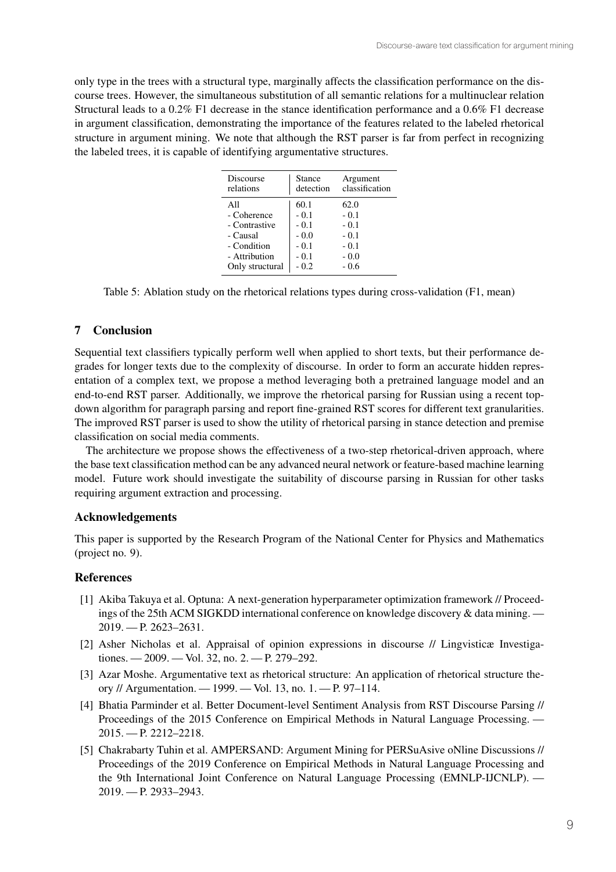only type in the trees with a structural type, marginally affects the classification performance on the discourse trees. However, the simultaneous substitution of all semantic relations for a multinuclear relation Structural leads to a 0.2% F1 decrease in the stance identification performance and a 0.6% F1 decrease in argument classification, demonstrating the importance of the features related to the labeled rhetorical structure in argument mining. We note that although the RST parser is far from perfect in recognizing the labeled trees, it is capable of identifying argumentative structures.

| Discourse       | Stance    | Argument       |  |  |
|-----------------|-----------|----------------|--|--|
| relations       | detection | classification |  |  |
| All             | 60.1      | 62.0           |  |  |
| - Coherence     | $-0.1$    | $-0.1$         |  |  |
| - Contrastive   | $-0.1$    | $-0.1$         |  |  |
| - Causal        | $-0.0$    | $-0.1$         |  |  |
| - Condition     | $-0.1$    | $-0.1$         |  |  |
| - Attribution   | $-0.1$    | $-0.0$         |  |  |
| Only structural | $-0.2$    | - 0.6          |  |  |

Table 5: Ablation study on the rhetorical relations types during cross-validation (F1, mean)

## 7 Conclusion

Sequential text classifiers typically perform well when applied to short texts, but their performance degrades for longer texts due to the complexity of discourse. In order to form an accurate hidden representation of a complex text, we propose a method leveraging both a pretrained language model and an end-to-end RST parser. Additionally, we improve the rhetorical parsing for Russian using a recent topdown algorithm for paragraph parsing and report fine-grained RST scores for different text granularities. The improved RST parser is used to show the utility of rhetorical parsing in stance detection and premise classification on social media comments.

The architecture we propose shows the effectiveness of a two-step rhetorical-driven approach, where the base text classification method can be any advanced neural network or feature-based machine learning model. Future work should investigate the suitability of discourse parsing in Russian for other tasks requiring argument extraction and processing.

### Acknowledgements

This paper is supported by the Research Program of the National Center for Physics and Mathematics (project no. 9).

### **References**

- [1] Akiba Takuya et al. Optuna: A next-generation hyperparameter optimization framework // Proceedings of the 25th ACM SIGKDD international conference on knowledge discovery & data mining. — 2019. — P. 2623–2631.
- [2] Asher Nicholas et al. Appraisal of opinion expressions in discourse // Lingvisticæ Investigationes. — 2009. — Vol. 32, no. 2. — P. 279–292.
- [3] Azar Moshe. Argumentative text as rhetorical structure: An application of rhetorical structure theory // Argumentation. — 1999. — Vol. 13, no. 1. — P. 97–114.
- [4] Bhatia Parminder et al. Better Document-level Sentiment Analysis from RST Discourse Parsing // Proceedings of the 2015 Conference on Empirical Methods in Natural Language Processing. — 2015. — P. 2212–2218.
- [5] Chakrabarty Tuhin et al. AMPERSAND: Argument Mining for PERSuAsive oNline Discussions // Proceedings of the 2019 Conference on Empirical Methods in Natural Language Processing and the 9th International Joint Conference on Natural Language Processing (EMNLP-IJCNLP). — 2019. — P. 2933–2943.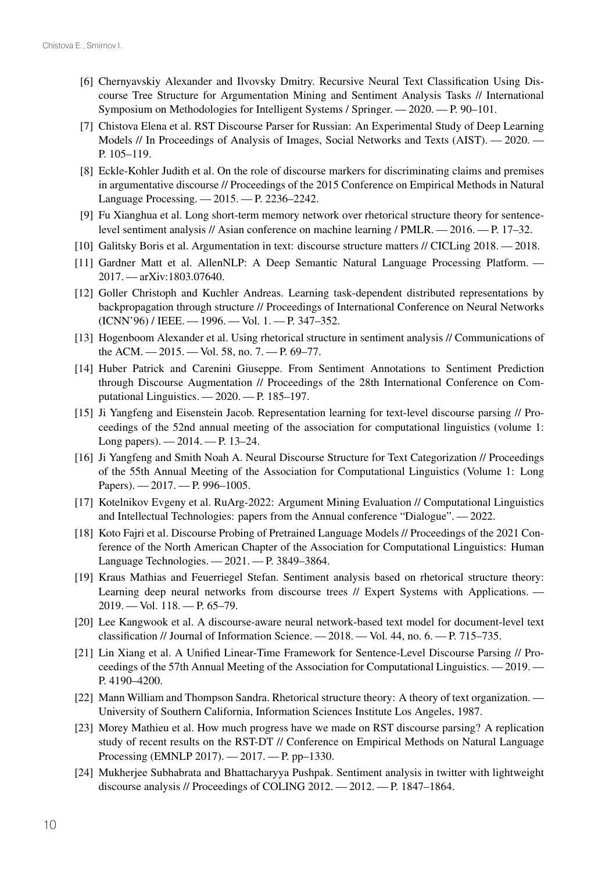- [6] Chernyavskiy Alexander and Ilvovsky Dmitry. Recursive Neural Text Classification Using Discourse Tree Structure for Argumentation Mining and Sentiment Analysis Tasks // International Symposium on Methodologies for Intelligent Systems / Springer. — 2020. — P. 90–101.
- [7] Chistova Elena et al. RST Discourse Parser for Russian: An Experimental Study of Deep Learning Models // In Proceedings of Analysis of Images, Social Networks and Texts (AIST). — 2020. — P. 105–119.
- [8] Eckle-Kohler Judith et al. On the role of discourse markers for discriminating claims and premises in argumentative discourse // Proceedings of the 2015 Conference on Empirical Methods in Natural Language Processing. — 2015. — P. 2236–2242.
- [9] Fu Xianghua et al. Long short-term memory network over rhetorical structure theory for sentencelevel sentiment analysis // Asian conference on machine learning / PMLR. — 2016. — P. 17–32.
- [10] Galitsky Boris et al. Argumentation in text: discourse structure matters // CICLing 2018. 2018.
- [11] Gardner Matt et al. AllenNLP: A Deep Semantic Natural Language Processing Platform. 2017. — arXiv:1803.07640.
- [12] Goller Christoph and Kuchler Andreas. Learning task-dependent distributed representations by backpropagation through structure // Proceedings of International Conference on Neural Networks (ICNN'96) / IEEE. — 1996. — Vol. 1. — P. 347–352.
- [13] Hogenboom Alexander et al. Using rhetorical structure in sentiment analysis // Communications of the ACM. — 2015. — Vol. 58, no. 7. — P. 69–77.
- [14] Huber Patrick and Carenini Giuseppe. From Sentiment Annotations to Sentiment Prediction through Discourse Augmentation // Proceedings of the 28th International Conference on Computational Linguistics. — 2020. — P. 185–197.
- [15] Ji Yangfeng and Eisenstein Jacob. Representation learning for text-level discourse parsing // Proceedings of the 52nd annual meeting of the association for computational linguistics (volume 1: Long papers). — 2014. — P. 13–24.
- [16] Ji Yangfeng and Smith Noah A. Neural Discourse Structure for Text Categorization // Proceedings of the 55th Annual Meeting of the Association for Computational Linguistics (Volume 1: Long Papers). — 2017. — P. 996–1005.
- [17] Kotelnikov Evgeny et al. RuArg-2022: Argument Mining Evaluation // Computational Linguistics and Intellectual Technologies: papers from the Annual conference "Dialogue". — 2022.
- [18] Koto Fajri et al. Discourse Probing of Pretrained Language Models // Proceedings of the 2021 Conference of the North American Chapter of the Association for Computational Linguistics: Human Language Technologies. — 2021. — P. 3849–3864.
- [19] Kraus Mathias and Feuerriegel Stefan. Sentiment analysis based on rhetorical structure theory: Learning deep neural networks from discourse trees // Expert Systems with Applications. — 2019. — Vol. 118. — P. 65–79.
- [20] Lee Kangwook et al. A discourse-aware neural network-based text model for document-level text classification // Journal of Information Science. — 2018. — Vol. 44, no. 6. — P. 715–735.
- [21] Lin Xiang et al. A Unified Linear-Time Framework for Sentence-Level Discourse Parsing // Proceedings of the 57th Annual Meeting of the Association for Computational Linguistics. — 2019. — P. 4190–4200.
- [22] Mann William and Thompson Sandra. Rhetorical structure theory: A theory of text organization. University of Southern California, Information Sciences Institute Los Angeles, 1987.
- [23] Morey Mathieu et al. How much progress have we made on RST discourse parsing? A replication study of recent results on the RST-DT // Conference on Empirical Methods on Natural Language Processing (EMNLP 2017). — 2017. — P. pp–1330.
- [24] Mukherjee Subhabrata and Bhattacharyya Pushpak. Sentiment analysis in twitter with lightweight discourse analysis // Proceedings of COLING 2012. — 2012. — P. 1847–1864.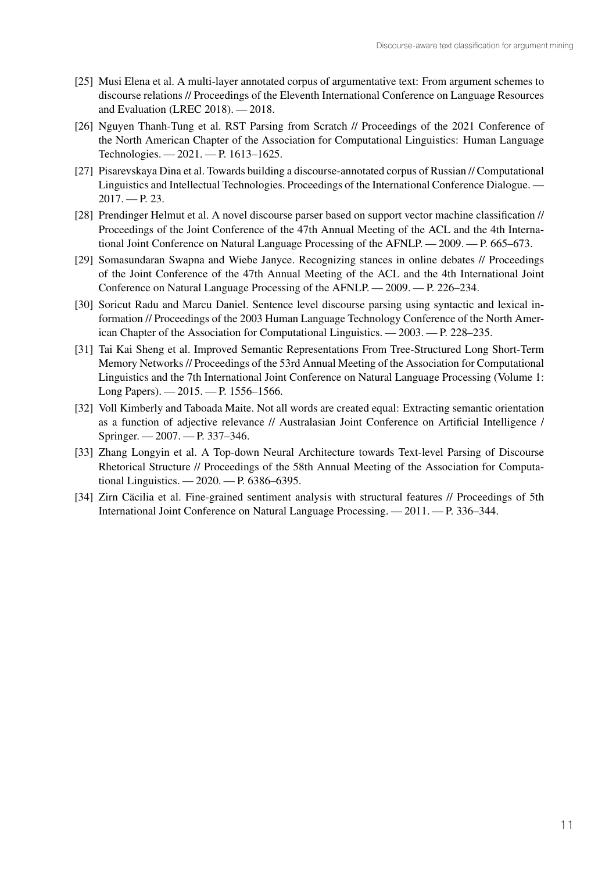- [25] Musi Elena et al. A multi-layer annotated corpus of argumentative text: From argument schemes to discourse relations // Proceedings of the Eleventh International Conference on Language Resources and Evaluation (LREC 2018). — 2018.
- [26] Nguyen Thanh-Tung et al. RST Parsing from Scratch // Proceedings of the 2021 Conference of the North American Chapter of the Association for Computational Linguistics: Human Language Technologies. — 2021. — P. 1613–1625.
- [27] Pisarevskaya Dina et al. Towards building a discourse-annotated corpus of Russian // Computational Linguistics and Intellectual Technologies. Proceedings of the International Conference Dialogue. — 2017. — P. 23.
- [28] Prendinger Helmut et al. A novel discourse parser based on support vector machine classification // Proceedings of the Joint Conference of the 47th Annual Meeting of the ACL and the 4th International Joint Conference on Natural Language Processing of the AFNLP. — 2009. — P. 665–673.
- [29] Somasundaran Swapna and Wiebe Janyce. Recognizing stances in online debates // Proceedings of the Joint Conference of the 47th Annual Meeting of the ACL and the 4th International Joint Conference on Natural Language Processing of the AFNLP. — 2009. — P. 226–234.
- [30] Soricut Radu and Marcu Daniel. Sentence level discourse parsing using syntactic and lexical information // Proceedings of the 2003 Human Language Technology Conference of the North American Chapter of the Association for Computational Linguistics. — 2003. — P. 228–235.
- [31] Tai Kai Sheng et al. Improved Semantic Representations From Tree-Structured Long Short-Term Memory Networks // Proceedings of the 53rd Annual Meeting of the Association for Computational Linguistics and the 7th International Joint Conference on Natural Language Processing (Volume 1: Long Papers). — 2015. — P. 1556–1566.
- [32] Voll Kimberly and Taboada Maite. Not all words are created equal: Extracting semantic orientation as a function of adjective relevance // Australasian Joint Conference on Artificial Intelligence / Springer. — 2007. — P. 337–346.
- [33] Zhang Longyin et al. A Top-down Neural Architecture towards Text-level Parsing of Discourse Rhetorical Structure // Proceedings of the 58th Annual Meeting of the Association for Computational Linguistics. — 2020. — P. 6386–6395.
- [34] Zirn Cäcilia et al. Fine-grained sentiment analysis with structural features // Proceedings of 5th International Joint Conference on Natural Language Processing. — 2011. — P. 336–344.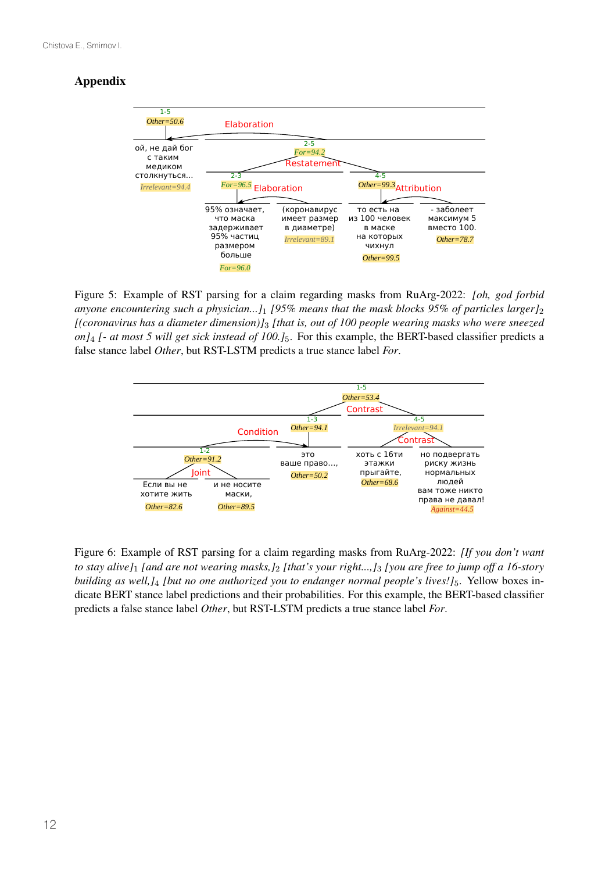# Appendix



Figure 5: Example of RST parsing for a claim regarding masks from RuArg-2022: *[oh, god forbid anyone encountering such a physician...]*<sup>1</sup> *[95% means that the mask blocks 95% of particles larger]*<sup>2</sup> *[(coronavirus has a diameter dimension)]*<sup>3</sup> *[that is, out of 100 people wearing masks who were sneezed on]*<sup>4</sup> *[- at most 5 will get sick instead of 100.]*5. For this example, the BERT-based classifier predicts a false stance label *Other*, but RST-LSTM predicts a true stance label *For*.



Figure 6: Example of RST parsing for a claim regarding masks from RuArg-2022: *[If you don't want to stay alive]*<sup>1</sup> *[and are not wearing masks,]*<sup>2</sup> *[that's your right...,]*<sup>3</sup> *[you are free to jump off a 16-story building as well,]*<sup>4</sup> *[but no one authorized you to endanger normal people's lives!]*5. Yellow boxes indicate BERT stance label predictions and their probabilities. For this example, the BERT-based classifier predicts a false stance label *Other*, but RST-LSTM predicts a true stance label *For*.